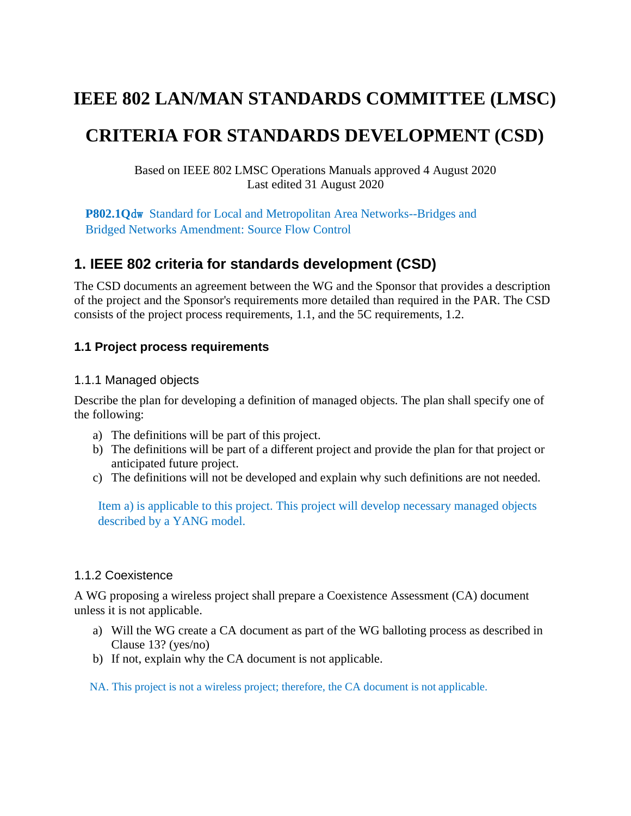# **IEEE 802 LAN/MAN STANDARDS COMMITTEE (LMSC)**

# **CRITERIA FOR STANDARDS DEVELOPMENT (CSD)**

Based on IEEE 802 LMSC Operations Manuals approved 4 August 2020 Last edited 31 August 2020

**P802.1Q**dw Standard for Local and Metropolitan Area Networks--Bridges and Bridged Networks Amendment: Source Flow Control

# **1. IEEE 802 criteria for standards development (CSD)**

The CSD documents an agreement between the WG and the Sponsor that provides a description of the project and the Sponsor's requirements more detailed than required in the PAR. The CSD consists of the project process requirements, [1.1,](#page-0-0) and the 5C requirements, [1.2.](#page-1-0)

#### <span id="page-0-0"></span>**1.1 Project process requirements**

#### 1.1.1 Managed objects

Describe the plan for developing a definition of managed objects. The plan shall specify one of the following:

- a) The definitions will be part of this project.
- b) The definitions will be part of a different project and provide the plan for that project or anticipated future project.
- c) The definitions will not be developed and explain why such definitions are not needed.

Item a) is applicable to this project. This project will develop necessary managed objects described by a YANG model.

#### 1.1.2 Coexistence

A WG proposing a wireless project shall prepare a Coexistence Assessment (CA) document unless it is not applicable.

- a) Will the WG create a CA document as part of the WG balloting process as described in Clause 13? (yes/no)
- b) If not, explain why the CA document is not applicable.

NA. This project is not a wireless project; therefore, the CA document is not applicable.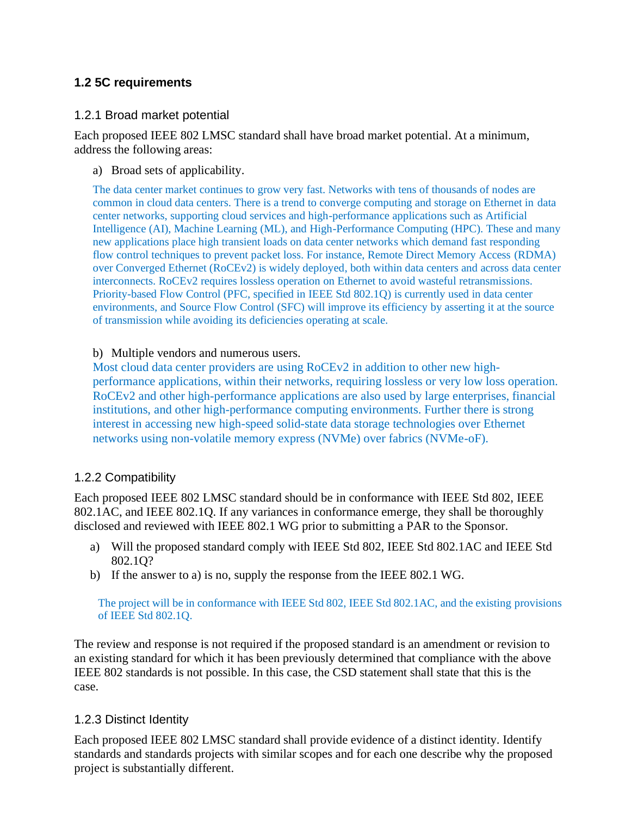## <span id="page-1-0"></span>**1.2 5C requirements**

#### 1.2.1 Broad market potential

Each proposed IEEE 802 LMSC standard shall have broad market potential. At a minimum, address the following areas:

a) Broad sets of applicability.

The data center market continues to grow very fast. Networks with tens of thousands of nodes are common in cloud data centers. There is a trend to converge computing and storage on Ethernet in data center networks, supporting cloud services and high-performance applications such as Artificial Intelligence (AI), Machine Learning (ML), and High-Performance Computing (HPC). These and many new applications place high transient loads on data center networks which demand fast responding flow control techniques to prevent packet loss. For instance, Remote Direct Memory Access (RDMA) over Converged Ethernet (RoCEv2) is widely deployed, both within data centers and across data center interconnects. RoCEv2 requires lossless operation on Ethernet to avoid wasteful retransmissions. Priority-based Flow Control (PFC, specified in IEEE Std 802.1Q) is currently used in data center environments, and Source Flow Control (SFC) will improve its efficiency by asserting it at the source of transmission while avoiding its deficiencies operating at scale.

#### b) Multiple vendors and numerous users.

Most cloud data center providers are using RoCEv2 in addition to other new highperformance applications, within their networks, requiring lossless or very low loss operation. RoCEv2 and other high-performance applications are also used by large enterprises, financial institutions, and other high-performance computing environments. Further there is strong interest in accessing new high-speed solid-state data storage technologies over Ethernet networks using non-volatile memory express (NVMe) over fabrics (NVMe-oF).

### 1.2.2 Compatibility

Each proposed IEEE 802 LMSC standard should be in conformance with IEEE Std 802, IEEE 802.1AC, and IEEE 802.1Q. If any variances in conformance emerge, they shall be thoroughly disclosed and reviewed with IEEE 802.1 WG prior to submitting a PAR to the Sponsor.

- a) Will the proposed standard comply with IEEE Std 802, IEEE Std 802.1AC and IEEE Std 802.1Q?
- b) If the answer to a) is no, supply the response from the IEEE 802.1 WG.

The project will be in conformance with IEEE Std 802, IEEE Std 802.1AC, and the existing provisions of IEEE Std 802.1Q.

The review and response is not required if the proposed standard is an amendment or revision to an existing standard for which it has been previously determined that compliance with the above IEEE 802 standards is not possible. In this case, the CSD statement shall state that this is the case.

### 1.2.3 Distinct Identity

Each proposed IEEE 802 LMSC standard shall provide evidence of a distinct identity. Identify standards and standards projects with similar scopes and for each one describe why the proposed project is substantially different.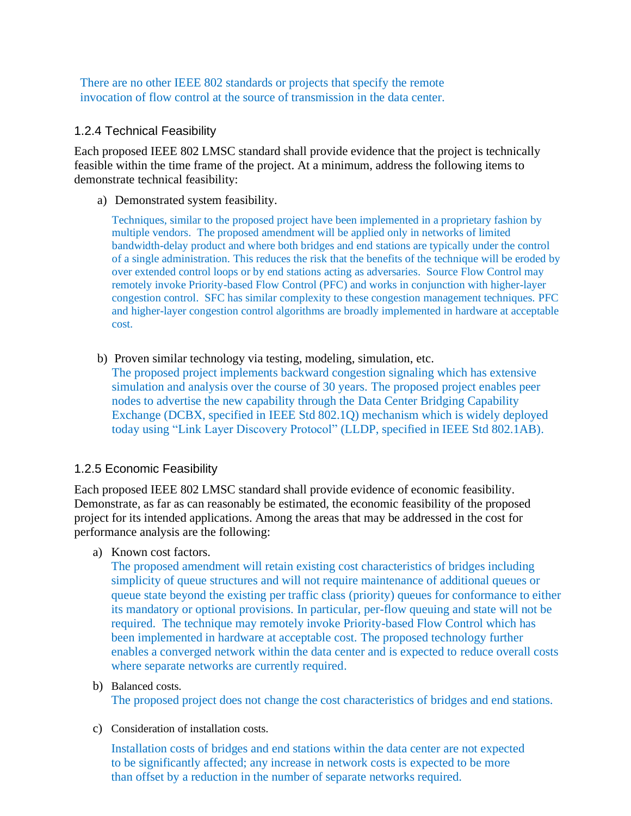There are no other IEEE 802 standards or projects that specify the remote invocation of flow control at the source of transmission in the data center.

#### 1.2.4 Technical Feasibility

Each proposed IEEE 802 LMSC standard shall provide evidence that the project is technically feasible within the time frame of the project. At a minimum, address the following items to demonstrate technical feasibility:

a) Demonstrated system feasibility.

Techniques, similar to the proposed project have been implemented in a proprietary fashion by multiple vendors. The proposed amendment will be applied only in networks of limited bandwidth-delay product and where both bridges and end stations are typically under the control of a single administration. This reduces the risk that the benefits of the technique will be eroded by over extended control loops or by end stations acting as adversaries. Source Flow Control may remotely invoke Priority-based Flow Control (PFC) and works in conjunction with higher-layer congestion control. SFC has similar complexity to these congestion management techniques. PFC and higher-layer congestion control algorithms are broadly implemented in hardware at acceptable cost.

b) Proven similar technology via testing, modeling, simulation, etc. The proposed project implements backward congestion signaling which has extensive simulation and analysis over the course of 30 years. The proposed project enables peer nodes to advertise the new capability through the Data Center Bridging Capability Exchange (DCBX, specified in IEEE Std 802.1Q) mechanism which is widely deployed today using "Link Layer Discovery Protocol" (LLDP, specified in IEEE Std 802.1AB).

### 1.2.5 Economic Feasibility

Each proposed IEEE 802 LMSC standard shall provide evidence of economic feasibility. Demonstrate, as far as can reasonably be estimated, the economic feasibility of the proposed project for its intended applications. Among the areas that may be addressed in the cost for performance analysis are the following:

a) Known cost factors.

The proposed amendment will retain existing cost characteristics of bridges including simplicity of queue structures and will not require maintenance of additional queues or queue state beyond the existing per traffic class (priority) queues for conformance to either its mandatory or optional provisions. In particular, per-flow queuing and state will not be required. The technique may remotely invoke Priority-based Flow Control which has been implemented in hardware at acceptable cost. The proposed technology further enables a converged network within the data center and is expected to reduce overall costs where separate networks are currently required.

b) Balanced costs.

The proposed project does not change the cost characteristics of bridges and end stations.

c) Consideration of installation costs.

Installation costs of bridges and end stations within the data center are not expected to be significantly affected; any increase in network costs is expected to be more than offset by a reduction in the number of separate networks required.